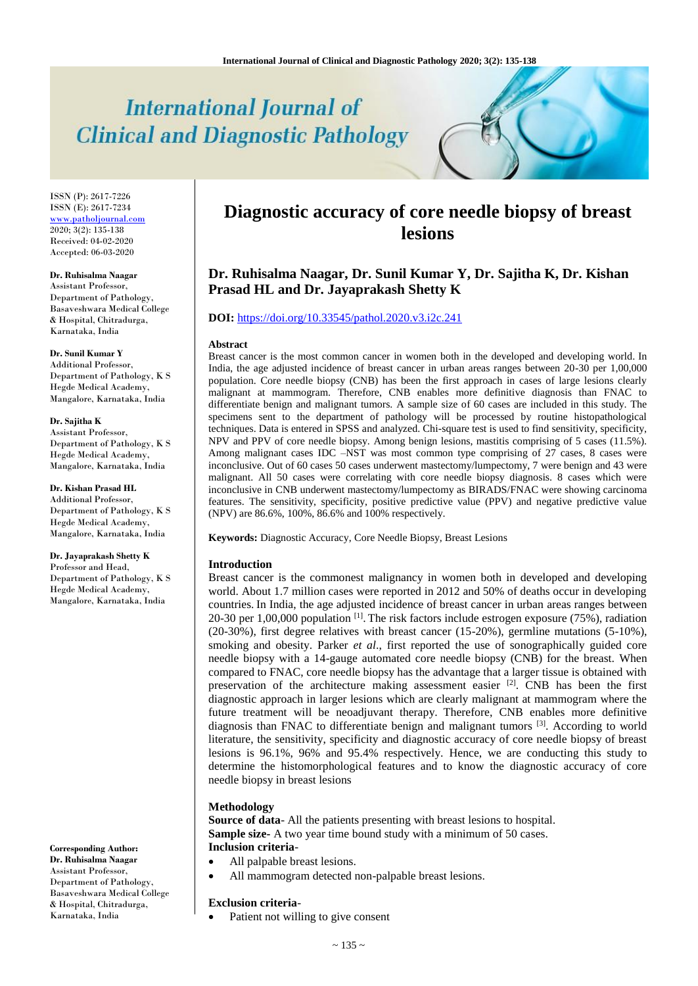# **International Journal of Clinical and Diagnostic Pathology**

ISSN (P): 2617-7226 ISSN (E): 2617-7234 [www.patholjournal.com](http://www.patholjournal.com/)  $2020; 3(2): 135-138$ Received: 04-02-2020 Accepted: 06-03-2020

#### **Dr. Ruhisalma Naagar**

Assistant Professor, Department of Pathology, Basaveshwara Medical College & Hospital, Chitradurga, Karnataka, India

## **Dr. Sunil Kumar Y**

Additional Professor, Department of Pathology, K S Hegde Medical Academy, Mangalore, Karnataka, India

#### **Dr. Sajitha K**

Assistant Professor, Department of Pathology, K S Hegde Medical Academy, Mangalore, Karnataka, India

**Dr. Kishan Prasad HL** Additional Professor, Department of Pathology, K S Hegde Medical Academy, Mangalore, Karnataka, India

**Dr. Jayaprakash Shetty K** Professor and Head, Department of Pathology, K S Hegde Medical Academy, Mangalore, Karnataka, India

**Corresponding Author: Dr. Ruhisalma Naagar** Assistant Professor, Department of Pathology, Basaveshwara Medical College & Hospital, Chitradurga, Karnataka, India

# **Diagnostic accuracy of core needle biopsy of breast lesions**

# **Dr. Ruhisalma Naagar, Dr. Sunil Kumar Y, Dr. Sajitha K, Dr. Kishan Prasad HL and Dr. Jayaprakash Shetty K**

# **DOI:** <https://doi.org/10.33545/pathol.2020.v3.i2c.241>

#### **Abstract**

Breast cancer is the most common cancer in women both in the developed and developing world. In India, the age adjusted incidence of breast cancer in urban areas ranges between 20-30 per 1,00,000 population. Core needle biopsy (CNB) has been the first approach in cases of large lesions clearly malignant at mammogram. Therefore, CNB enables more definitive diagnosis than FNAC to differentiate benign and malignant tumors. A sample size of 60 cases are included in this study. The specimens sent to the department of pathology will be processed by routine histopathological techniques. Data is entered in SPSS and analyzed. Chi-square test is used to find sensitivity, specificity, NPV and PPV of core needle biopsy. Among benign lesions, mastitis comprising of 5 cases (11.5%). Among malignant cases IDC –NST was most common type comprising of 27 cases, 8 cases were inconclusive. Out of 60 cases 50 cases underwent mastectomy/lumpectomy, 7 were benign and 43 were malignant. All 50 cases were correlating with core needle biopsy diagnosis. 8 cases which were inconclusive in CNB underwent mastectomy/lumpectomy as BIRADS/FNAC were showing carcinoma features. The sensitivity, specificity, positive predictive value (PPV) and negative predictive value (NPV) are 86.6%, 100%, 86.6% and 100% respectively.

**Keywords:** Diagnostic Accuracy, Core Needle Biopsy, Breast Lesions

#### **Introduction**

Breast cancer is the commonest malignancy in women both in developed and developing world. About 1.7 million cases were reported in 2012 and 50% of deaths occur in developing countries. In India, the age adjusted incidence of breast cancer in urban areas ranges between 20-30 per 1,00,000 population  $^{[1]}$ . The risk factors include estrogen exposure (75%), radiation (20-30%), first degree relatives with breast cancer (15-20%), germline mutations (5-10%), smoking and obesity. Parker *et al*., first reported the use of sonographically guided core needle biopsy with a 14-gauge automated core needle biopsy (CNB) for the breast. When compared to FNAC, core needle biopsy has the advantage that a larger tissue is obtained with preservation of the architecture making assessment easier <sup>[2]</sup>. CNB has been the first diagnostic approach in larger lesions which are clearly malignant at mammogram where the future treatment will be neoadjuvant therapy. Therefore, CNB enables more definitive diagnosis than FNAC to differentiate benign and malignant tumors  $^{[3]}$ . According to world literature, the sensitivity, specificity and diagnostic accuracy of core needle biopsy of breast lesions is 96.1%, 96% and 95.4% respectively. Hence, we are conducting this study to determine the histomorphological features and to know the diagnostic accuracy of core needle biopsy in breast lesions

#### **Methodology**

**Source of data**- All the patients presenting with breast lesions to hospital. **Sample size-** A two year time bound study with a minimum of 50 cases. **Inclusion criteria**-

- All palpable breast lesions.
	- All mammogram detected non-palpable breast lesions.

#### **Exclusion criteria**-

Patient not willing to give consent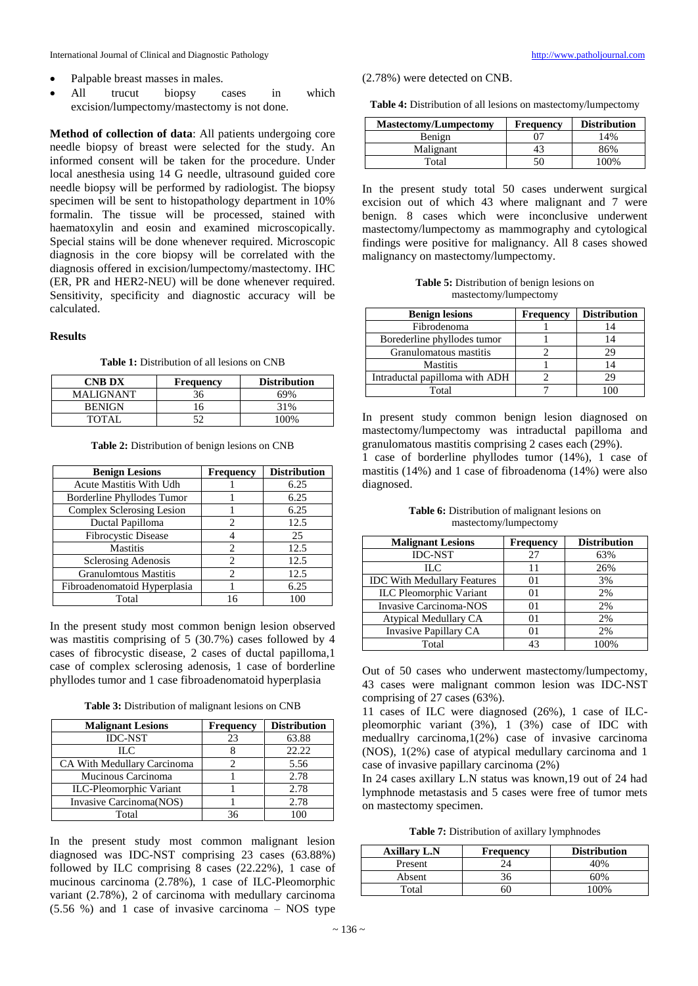- Palpable breast masses in males.
- All trucut biopsy cases in which excision/lumpectomy/mastectomy is not done.

**Method of collection of data**: All patients undergoing core needle biopsy of breast were selected for the study. An informed consent will be taken for the procedure. Under local anesthesia using 14 G needle, ultrasound guided core needle biopsy will be performed by radiologist. The biopsy specimen will be sent to histopathology department in 10% formalin. The tissue will be processed, stained with haematoxylin and eosin and examined microscopically. Special stains will be done whenever required. Microscopic diagnosis in the core biopsy will be correlated with the diagnosis offered in excision/lumpectomy/mastectomy. IHC (ER, PR and HER2-NEU) will be done whenever required. Sensitivity, specificity and diagnostic accuracy will be calculated.

#### **Results**

**Table 1:** Distribution of all lesions on CNB

| <b>CNB DX</b> | <b>Frequency</b> | <b>Distribution</b> |
|---------------|------------------|---------------------|
| MALIGNANT     | 36               | 69%                 |
| <b>BENIGN</b> | 16               | 31%                 |
| TOTAL         |                  | 100%                |

**Table 2:** Distribution of benign lesions on CNB

| <b>Benign Lesions</b>          | <b>Frequency</b>              | <b>Distribution</b> |
|--------------------------------|-------------------------------|---------------------|
| <b>Acute Mastitis With Udh</b> |                               | 6.25                |
| Borderline Phyllodes Tumor     |                               | 6.25                |
| Complex Sclerosing Lesion      |                               | 6.25                |
| Ductal Papilloma               | 2                             | 12.5                |
| Fibrocystic Disease            |                               | 25                  |
| <b>Mastitis</b>                | $\mathfrak{D}_{\mathfrak{p}}$ | 12.5                |
| <b>Sclerosing Adenosis</b>     | 2                             | 12.5                |
| <b>Granulomtous Mastitis</b>   | $\mathcal{D}_{\mathcal{L}}$   | 12.5                |
| Fibroadenomatoid Hyperplasia   |                               | 6.25                |
| Total                          | 16                            | 100                 |

In the present study most common benign lesion observed was mastitis comprising of 5 (30.7%) cases followed by 4 cases of fibrocystic disease, 2 cases of ductal papilloma,1 case of complex sclerosing adenosis, 1 case of borderline phyllodes tumor and 1 case fibroadenomatoid hyperplasia

**Table 3:** Distribution of malignant lesions on CNB

| <b>Malignant Lesions</b>        | <b>Frequency</b> | <b>Distribution</b> |
|---------------------------------|------------------|---------------------|
| <b>IDC-NST</b>                  | 23               | 63.88               |
| HС                              |                  | 22.22               |
| CA With Medullary Carcinoma     |                  | 5.56                |
| Mucinous Carcinoma              |                  | 2.78                |
| <b>ILC-Pleomorphic Variant</b>  |                  | 2.78                |
| <b>Invasive Carcinoma (NOS)</b> |                  | 2.78                |
| Total                           | 36               |                     |

In the present study most common malignant lesion diagnosed was IDC-NST comprising 23 cases (63.88%) followed by ILC comprising 8 cases (22.22%), 1 case of mucinous carcinoma (2.78%), 1 case of ILC-Pleomorphic variant (2.78%), 2 of carcinoma with medullary carcinoma (5.56 %) and 1 case of invasive carcinoma – NOS type

(2.78%) were detected on CNB.

**Table 4:** Distribution of all lesions on mastectomy/lumpectomy

| <b>Mastectomy/Lumpectomy</b> | <b>Frequency</b> | <b>Distribution</b> |
|------------------------------|------------------|---------------------|
| Benign                       | 97               | 14%                 |
| Malignant                    | 43               | 86%                 |
| Total                        | 50               | 100%                |

In the present study total 50 cases underwent surgical excision out of which 43 where malignant and 7 were benign. 8 cases which were inconclusive underwent mastectomy/lumpectomy as mammography and cytological findings were positive for malignancy. All 8 cases showed malignancy on mastectomy/lumpectomy.

**Table 5:** Distribution of benign lesions on mastectomy/lumpectomy

| <b>Benign lesions</b>          | <b>Frequency</b> | <b>Distribution</b> |
|--------------------------------|------------------|---------------------|
| Fibrodenoma                    |                  |                     |
| Borederline phyllodes tumor    |                  |                     |
| Granulomatous mastitis         |                  | 29                  |
| <b>Mastitis</b>                |                  | 14                  |
| Intraductal papilloma with ADH |                  | 29                  |
| Total                          |                  |                     |

In present study common benign lesion diagnosed on mastectomy/lumpectomy was intraductal papilloma and granulomatous mastitis comprising 2 cases each (29%).

1 case of borderline phyllodes tumor (14%), 1 case of mastitis (14%) and 1 case of fibroadenoma (14%) were also diagnosed.

**Table 6:** Distribution of malignant lesions on mastectomy/lumpectomy

| <b>Malignant Lesions</b>           | Frequency | <b>Distribution</b> |
|------------------------------------|-----------|---------------------|
| <b>IDC-NST</b>                     | 27        | 63%                 |
| HС                                 | 11        | 26%                 |
| <b>IDC With Medullary Features</b> | 01        | 3%                  |
| <b>ILC</b> Pleomorphic Variant     | 01        | 2%                  |
| <b>Invasive Carcinoma-NOS</b>      | 01        | 2%                  |
| Atypical Medullary CA              | 01        | 2%                  |
| <b>Invasive Papillary CA</b>       | 01        | 2%                  |
| Total                              | 43        | 100%                |

Out of 50 cases who underwent mastectomy/lumpectomy, 43 cases were malignant common lesion was IDC-NST comprising of 27 cases (63%).

11 cases of ILC were diagnosed (26%), 1 case of ILCpleomorphic variant (3%), 1 (3%) case of IDC with meduallry carcinoma,1(2%) case of invasive carcinoma (NOS), 1(2%) case of atypical medullary carcinoma and 1 case of invasive papillary carcinoma (2%)

In 24 cases axillary L.N status was known,19 out of 24 had lymphnode metastasis and 5 cases were free of tumor mets on mastectomy specimen.

**Table 7:** Distribution of axillary lymphnodes

| <b>Axillary L.N</b> | <b>Frequency</b> | <b>Distribution</b> |
|---------------------|------------------|---------------------|
| Present             |                  | 40%                 |
| Absent              |                  | 60%                 |
| Total               |                  | $00\%$              |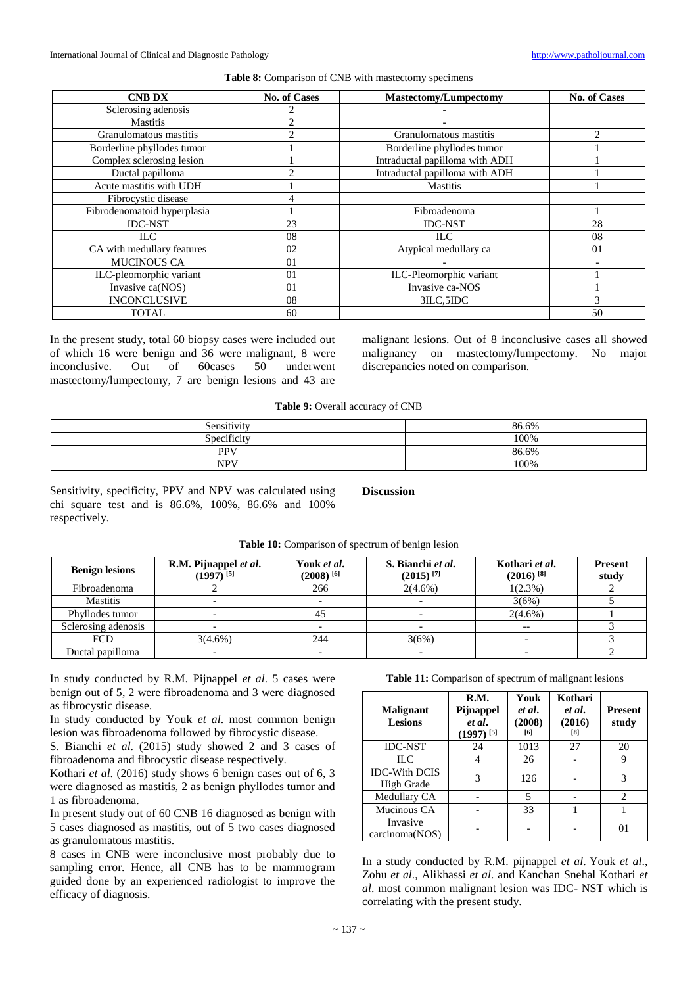#### **Table 8:** Comparison of CNB with mastectomy specimens

| <b>CNB DX</b>               | <b>No. of Cases</b> | <b>Mastectomy/Lumpectomy</b>   | <b>No. of Cases</b> |
|-----------------------------|---------------------|--------------------------------|---------------------|
| Sclerosing adenosis         |                     |                                |                     |
| <b>Mastitis</b>             | 2                   |                                |                     |
| Granulomatous mastitis      | $\mathfrak{D}$      | Granulomatous mastitis         | 2                   |
| Borderline phyllodes tumor  |                     | Borderline phyllodes tumor     |                     |
| Complex sclerosing lesion   |                     | Intraductal papilloma with ADH |                     |
| Ductal papilloma            | ◠                   | Intraductal papilloma with ADH |                     |
| Acute mastitis with UDH     |                     | <b>Mastitis</b>                |                     |
| Fibrocystic disease         |                     |                                |                     |
| Fibrodenomatoid hyperplasia |                     | Fibroadenoma                   |                     |
| <b>IDC-NST</b>              | 23                  | <b>IDC-NST</b>                 | 28                  |
| ILC.                        | 08                  | <b>ILC</b>                     | 08                  |
| CA with medullary features  | 02                  | Atypical medullary ca          | 0 <sub>1</sub>      |
| <b>MUCINOUS CA</b>          | 01                  |                                |                     |
| ILC-pleomorphic variant     | 0 <sub>1</sub>      | ILC-Pleomorphic variant        |                     |
| Invasive ca(NOS)            | 0 <sub>1</sub>      | Invasive ca-NOS                |                     |
| <b>INCONCLUSIVE</b>         | 08                  | 3ILC, 5IDC                     | 3                   |
| <b>TOTAL</b>                | 60                  |                                | 50                  |

In the present study, total 60 biopsy cases were included out of which 16 were benign and 36 were malignant, 8 were inconclusive. Out of 60cases 50 underwent mastectomy/lumpectomy, 7 are benign lesions and 43 are malignant lesions. Out of 8 inconclusive cases all showed malignancy on mastectomy/lumpectomy. No major discrepancies noted on comparison.

Table 9: Overall accuracy of CNB

| Sensitivity | 86.6% |
|-------------|-------|
| Specificity | 100%  |
| <b>PPV</b>  | 86.6% |
| <b>NPV</b>  | 100%  |

Sensitivity, specificity, PPV and NPV was calculated using chi square test and is 86.6%, 100%, 86.6% and 100% respectively.

**Discussion**

|  |  |  |  | <b>Table 10:</b> Comparison of spectrum of benign lesion |
|--|--|--|--|----------------------------------------------------------|
|--|--|--|--|----------------------------------------------------------|

| <b>Benign lesions</b> | R.M. Pijnappel et al.<br>$(1997)^{[5]}$ | Youk et al.<br>$(2008)$ <sup>[6]</sup> | S. Bianchi et al.<br>$(2015)$ <sup>[7]</sup> | Kothari et al.<br>$(2016)$ <sup>[8]</sup> | <b>Present</b><br>study |
|-----------------------|-----------------------------------------|----------------------------------------|----------------------------------------------|-------------------------------------------|-------------------------|
| Fibroadenoma          |                                         | 266                                    | $2(4.6\%)$                                   | $1(2.3\%)$                                |                         |
| <b>Mastitis</b>       |                                         |                                        |                                              | 3(6%)                                     |                         |
| Phyllodes tumor       |                                         | 45                                     |                                              | $2(4.6\%)$                                |                         |
| Sclerosing adenosis   |                                         |                                        |                                              | $- -$                                     |                         |
| <b>FCD</b>            | $3(4.6\%)$                              | 244                                    | 3(6%)                                        |                                           |                         |
| Ductal papilloma      |                                         |                                        |                                              |                                           |                         |

In study conducted by R.M. Pijnappel *et al*. 5 cases were benign out of 5, 2 were fibroadenoma and 3 were diagnosed as fibrocystic disease.

In study conducted by Youk *et al*. most common benign lesion was fibroadenoma followed by fibrocystic disease.

S. Bianchi *et al*. (2015) study showed 2 and 3 cases of fibroadenoma and fibrocystic disease respectively.

Kothari *et al*. (2016) study shows 6 benign cases out of 6, 3 were diagnosed as mastitis, 2 as benign phyllodes tumor and 1 as fibroadenoma.

In present study out of 60 CNB 16 diagnosed as benign with 5 cases diagnosed as mastitis, out of 5 two cases diagnosed as granulomatous mastitis.

8 cases in CNB were inconclusive most probably due to sampling error. Hence, all CNB has to be mammogram guided done by an experienced radiologist to improve the efficacy of diagnosis.

# Table 11: Comparison of spectrum of malignant lesions

| <b>Malignant</b><br><b>Lesions</b> | R.M.<br>Pijnappel<br>et al.<br>$(1997)^{[5]}$ | Youk<br>et al.<br>(2008)<br>[6] | Kothari<br>et al.<br>(2016)<br>[8] | <b>Present</b><br>study     |
|------------------------------------|-----------------------------------------------|---------------------------------|------------------------------------|-----------------------------|
| <b>IDC-NST</b>                     | 24                                            | 1013                            | 27                                 | 20                          |
| HС                                 |                                               | 26                              |                                    | 9                           |
| <b>IDC-With DCIS</b><br>High Grade | 3                                             | 126                             |                                    | 3                           |
| Medullary CA                       |                                               | 5                               |                                    | $\mathcal{D}_{\mathcal{L}}$ |
| Mucinous CA                        |                                               | 33                              |                                    |                             |
| Invasive<br>carcinoma(NOS)         |                                               |                                 |                                    | $_{01}$                     |

In a study conducted by R.M. pijnappel *et al*. Youk *et al*., Zohu *et al*., Alikhassi *et al*. and Kanchan Snehal Kothari *et al*. most common malignant lesion was IDC- NST which is correlating with the present study.